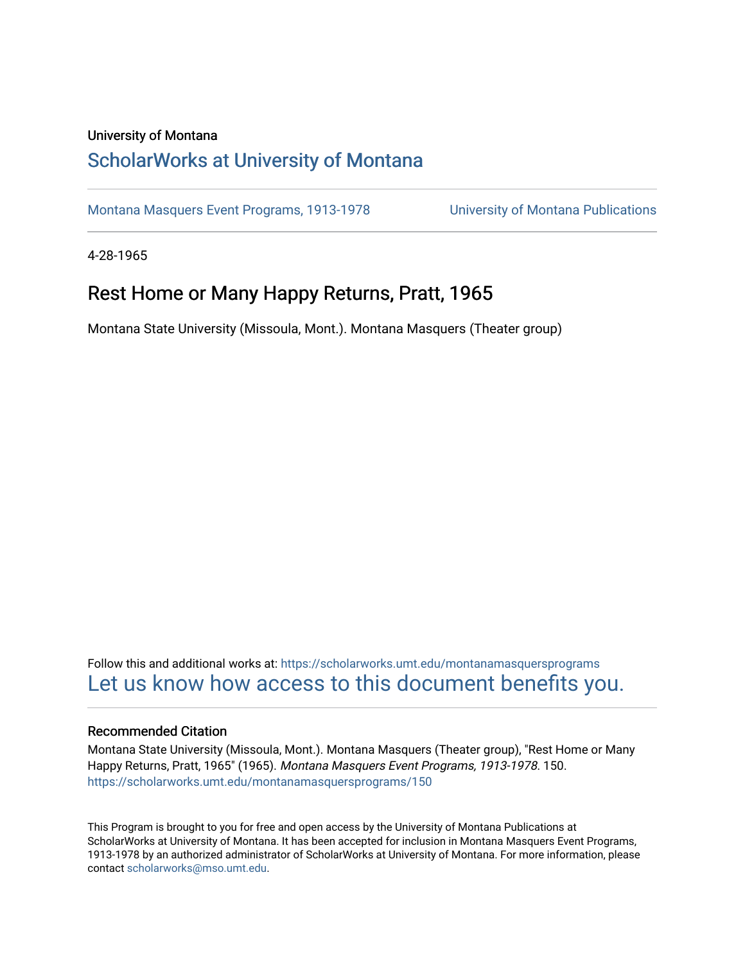### University of Montana

## [ScholarWorks at University of Montana](https://scholarworks.umt.edu/)

[Montana Masquers Event Programs, 1913-1978](https://scholarworks.umt.edu/montanamasquersprograms) [University of Montana Publications](https://scholarworks.umt.edu/umpubs) 

4-28-1965

## Rest Home or Many Happy Returns, Pratt, 1965

Montana State University (Missoula, Mont.). Montana Masquers (Theater group)

Follow this and additional works at: [https://scholarworks.umt.edu/montanamasquersprograms](https://scholarworks.umt.edu/montanamasquersprograms?utm_source=scholarworks.umt.edu%2Fmontanamasquersprograms%2F150&utm_medium=PDF&utm_campaign=PDFCoverPages) [Let us know how access to this document benefits you.](https://goo.gl/forms/s2rGfXOLzz71qgsB2) 

#### Recommended Citation

Montana State University (Missoula, Mont.). Montana Masquers (Theater group), "Rest Home or Many Happy Returns, Pratt, 1965" (1965). Montana Masquers Event Programs, 1913-1978. 150. [https://scholarworks.umt.edu/montanamasquersprograms/150](https://scholarworks.umt.edu/montanamasquersprograms/150?utm_source=scholarworks.umt.edu%2Fmontanamasquersprograms%2F150&utm_medium=PDF&utm_campaign=PDFCoverPages)

This Program is brought to you for free and open access by the University of Montana Publications at ScholarWorks at University of Montana. It has been accepted for inclusion in Montana Masquers Event Programs, 1913-1978 by an authorized administrator of ScholarWorks at University of Montana. For more information, please contact [scholarworks@mso.umt.edu](mailto:scholarworks@mso.umt.edu).